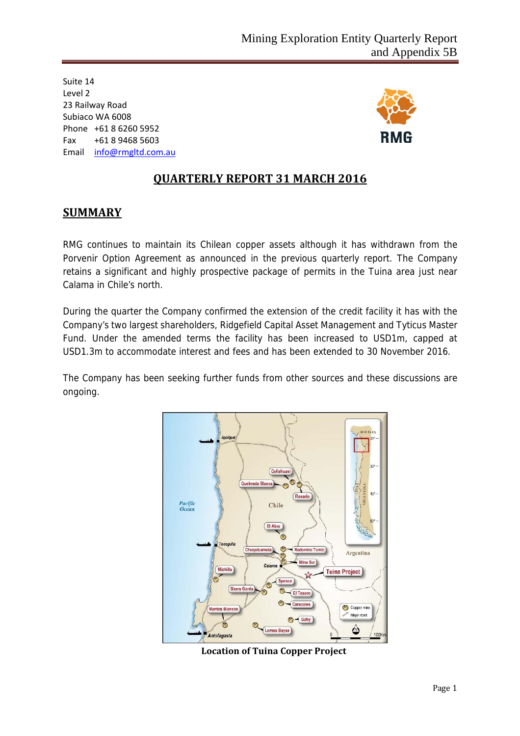Suite 14 Level 2 23 Railway Road Subiaco WA 6008 Phone +61 8 6260 5952 Fax +61 8 9468 5603 Email info@rmgltd.com.au



## **QUARTERLY REPORT 31 MARCH 2016**

## **SUMMARY**

RMG continues to maintain its Chilean copper assets although it has withdrawn from the Porvenir Option Agreement as announced in the previous quarterly report. The Company retains a significant and highly prospective package of permits in the Tuina area just near Calama in Chile's north.

During the quarter the Company confirmed the extension of the credit facility it has with the Company's two largest shareholders, Ridgefield Capital Asset Management and Tyticus Master Fund. Under the amended terms the facility has been increased to USD1m, capped at USD1.3m to accommodate interest and fees and has been extended to 30 November 2016.

The Company has been seeking further funds from other sources and these discussions are ongoing.



 **Location of Tuina Copper Project**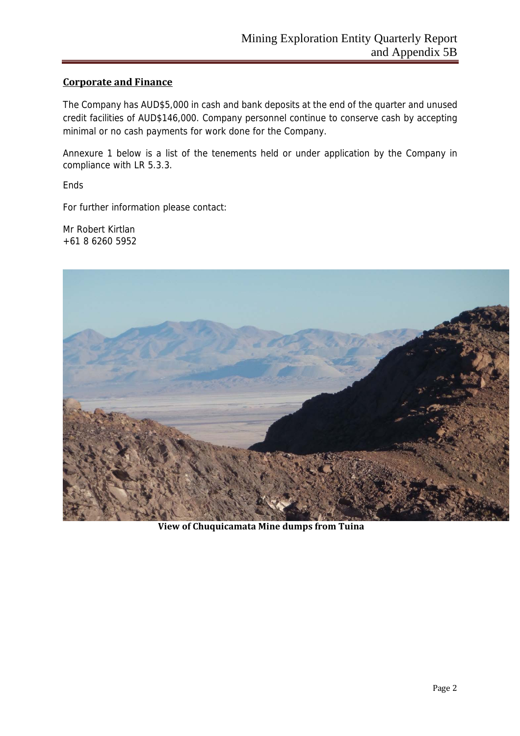## **Corporate and Finance**

The Company has AUD\$5,000 in cash and bank deposits at the end of the quarter and unused credit facilities of AUD\$146,000. Company personnel continue to conserve cash by accepting minimal or no cash payments for work done for the Company.

Annexure 1 below is a list of the tenements held or under application by the Company in compliance with LR 5.3.3.

Ends

For further information please contact:

Mr Robert Kirtlan +61 8 6260 5952



**View of Chuquicamata Mine dumps from Tuina**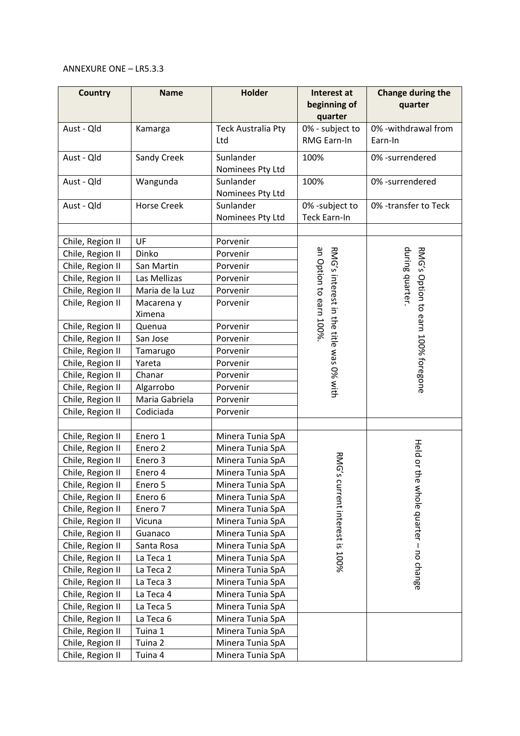#### ANNEXURE ONE – LR5.3.3

| <b>Country</b>                       | <b>Name</b>                   | Holder                               | Interest at<br>beginning of                                       | Change during the<br>quarter                          |
|--------------------------------------|-------------------------------|--------------------------------------|-------------------------------------------------------------------|-------------------------------------------------------|
|                                      |                               | quarter                              |                                                                   |                                                       |
| Aust - Qld                           | Kamarga                       | <b>Teck Australia Pty</b>            | 0% - subject to                                                   | 0% - withdrawal from                                  |
|                                      |                               | Ltd                                  | RMG Earn-In                                                       | Earn-In                                               |
| Aust - Qld                           | Sandy Creek                   | Sunlander                            | 100%                                                              | 0% -surrendered                                       |
|                                      |                               | Nominees Pty Ltd                     |                                                                   |                                                       |
| Aust - Qld                           | Wangunda                      | Sunlander                            | 100%                                                              | 0% -surrendered                                       |
|                                      |                               | Nominees Pty Ltd                     |                                                                   |                                                       |
| Aust - Qld                           | <b>Horse Creek</b>            | Sunlander                            | 0% -subject to                                                    | 0% -transfer to Teck                                  |
|                                      |                               | Nominees Pty Ltd                     | <b>Teck Earn-In</b>                                               |                                                       |
| Chile, Region II                     | UF                            | Porvenir                             |                                                                   |                                                       |
| Chile, Region II                     | Dinko                         | Porvenir                             |                                                                   |                                                       |
| Chile, Region II                     | San Martin                    | Porvenir                             |                                                                   |                                                       |
| Chile, Region II                     | Las Mellizas                  | Porvenir                             | an Option to earn 100%<br>RNG's interest in the title sas 0% sith | during quarter.<br>RMG's Option to earn 100% foregone |
| Chile, Region II                     | Maria de la Luz               | Porvenir                             |                                                                   |                                                       |
| Chile, Region II                     | Macarena y                    | Porvenir                             |                                                                   |                                                       |
|                                      | Ximena                        |                                      |                                                                   |                                                       |
| Chile, Region II                     | Quenua                        | Porvenir                             |                                                                   |                                                       |
| Chile, Region II                     | San Jose                      | Porvenir                             |                                                                   |                                                       |
| Chile, Region II                     | Tamarugo                      | Porvenir                             |                                                                   |                                                       |
| Chile, Region II                     | Yareta                        | Porvenir                             |                                                                   |                                                       |
| Chile, Region II                     | Chanar                        | Porvenir                             |                                                                   |                                                       |
| Chile, Region II                     | Algarrobo                     | Porvenir                             |                                                                   |                                                       |
| Chile, Region II                     | Maria Gabriela                | Porvenir                             |                                                                   |                                                       |
| Chile, Region II                     | Codiciada                     | Porvenir                             |                                                                   |                                                       |
|                                      |                               |                                      |                                                                   |                                                       |
| Chile, Region II                     | Enero 1                       | Minera Tunia SpA                     |                                                                   |                                                       |
| Chile, Region II                     | Enero <sub>2</sub><br>Enero 3 | Minera Tunia SpA<br>Minera Tunia SpA |                                                                   | Held or th                                            |
| Chile, Region II                     |                               | Minera Tunia SpA                     | RMG's                                                             |                                                       |
| Chile, Region II                     | Enero 4<br>Enero 5            | Minera Tunia SpA                     |                                                                   |                                                       |
| Chile, Region II<br>Chile, Region II | Enero 6                       | Minera Tunia SpA                     |                                                                   |                                                       |
| Chile, Region II                     | Enero 7                       | Minera Tunia SpA                     |                                                                   |                                                       |
| Chile, Region II                     | Vicuna                        | Minera Tunia SpA                     | current interest is 100%                                          | e whole quarter - no change                           |
| Chile, Region II                     | Guanaco                       | Minera Tunia SpA                     |                                                                   |                                                       |
| Chile, Region II                     | Santa Rosa                    | Minera Tunia SpA                     |                                                                   |                                                       |
| Chile, Region II                     | La Teca 1                     | Minera Tunia SpA                     |                                                                   |                                                       |
| Chile, Region II                     | La Teca 2                     | Minera Tunia SpA                     |                                                                   |                                                       |
| Chile, Region II                     | La Teca 3                     | Minera Tunia SpA                     |                                                                   |                                                       |
| Chile, Region II                     | La Teca 4                     | Minera Tunia SpA                     |                                                                   |                                                       |
| Chile, Region II                     | La Teca 5                     | Minera Tunia SpA                     |                                                                   |                                                       |
| Chile, Region II                     | La Teca 6                     | Minera Tunia SpA                     |                                                                   |                                                       |
| Chile, Region II                     | Tuina 1                       | Minera Tunia SpA                     |                                                                   |                                                       |
| Chile, Region II                     | Tuina 2                       | Minera Tunia SpA                     |                                                                   |                                                       |
| Chile, Region II                     | Tuina 4                       | Minera Tunia SpA                     |                                                                   |                                                       |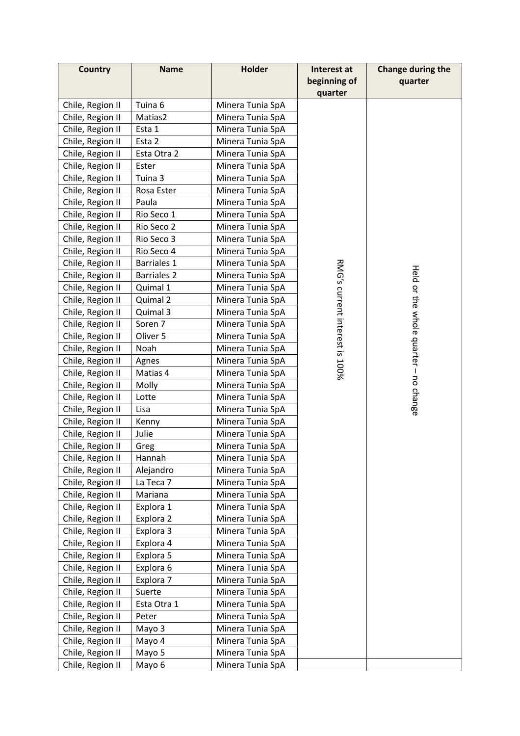| <b>Country</b>   | <b>Name</b>        | <b>Holder</b>    | Interest at                    | Change during the                     |
|------------------|--------------------|------------------|--------------------------------|---------------------------------------|
|                  |                    |                  | beginning of                   | quarter                               |
|                  |                    |                  | quarter                        |                                       |
| Chile, Region II | Tuina 6            | Minera Tunia SpA |                                |                                       |
| Chile, Region II | Matias2            | Minera Tunia SpA |                                |                                       |
| Chile, Region II | Esta 1             | Minera Tunia SpA |                                |                                       |
| Chile, Region II | Esta 2             | Minera Tunia SpA |                                |                                       |
| Chile, Region II | Esta Otra 2        | Minera Tunia SpA |                                |                                       |
| Chile, Region II | Ester              | Minera Tunia SpA |                                |                                       |
| Chile, Region II | Tuina 3            | Minera Tunia SpA |                                |                                       |
| Chile, Region II | Rosa Ester         | Minera Tunia SpA |                                |                                       |
| Chile, Region II | Paula              | Minera Tunia SpA |                                |                                       |
| Chile, Region II | Rio Seco 1         | Minera Tunia SpA |                                |                                       |
| Chile, Region II | Rio Seco 2         | Minera Tunia SpA |                                |                                       |
| Chile, Region II | Rio Seco 3         | Minera Tunia SpA |                                |                                       |
| Chile, Region II | Rio Seco 4         | Minera Tunia SpA |                                |                                       |
| Chile, Region II | <b>Barriales 1</b> | Minera Tunia SpA |                                |                                       |
| Chile, Region II | <b>Barriales 2</b> | Minera Tunia SpA |                                |                                       |
| Chile, Region II | Quimal 1           | Minera Tunia SpA |                                |                                       |
| Chile, Region II | Quimal 2           | Minera Tunia SpA |                                |                                       |
| Chile, Region II | Quimal 3           | Minera Tunia SpA |                                |                                       |
| Chile, Region II | Soren 7            | Minera Tunia SpA |                                |                                       |
| Chile, Region II | Oliver 5           | Minera Tunia SpA |                                |                                       |
| Chile, Region II | Noah               | Minera Tunia SpA |                                |                                       |
| Chile, Region II | Agnes              | Minera Tunia SpA |                                |                                       |
| Chile, Region II | Matias 4           | Minera Tunia SpA | RMG's current interest is 100% | Held or the whole quarter - no change |
| Chile, Region II | Molly              | Minera Tunia SpA |                                |                                       |
| Chile, Region II | Lotte              | Minera Tunia SpA |                                |                                       |
| Chile, Region II | Lisa               | Minera Tunia SpA |                                |                                       |
| Chile, Region II | Kenny              | Minera Tunia SpA |                                |                                       |
| Chile, Region II | Julie              | Minera Tunia SpA |                                |                                       |
| Chile, Region II | Greg               | Minera Tunia SpA |                                |                                       |
| Chile, Region II | Hannah             | Minera Tunia SpA |                                |                                       |
| Chile, Region II | Alejandro          | Minera Tunia SpA |                                |                                       |
| Chile, Region II | La Teca 7          | Minera Tunia SpA |                                |                                       |
| Chile, Region II | Mariana            | Minera Tunia SpA |                                |                                       |
| Chile, Region II | Explora 1          | Minera Tunia SpA |                                |                                       |
| Chile, Region II | Explora 2          | Minera Tunia SpA |                                |                                       |
| Chile, Region II | Explora 3          | Minera Tunia SpA |                                |                                       |
| Chile, Region II | Explora 4          | Minera Tunia SpA |                                |                                       |
| Chile, Region II | Explora 5          | Minera Tunia SpA |                                |                                       |
| Chile, Region II | Explora 6          | Minera Tunia SpA |                                |                                       |
| Chile, Region II | Explora 7          | Minera Tunia SpA |                                |                                       |
| Chile, Region II | Suerte             | Minera Tunia SpA |                                |                                       |
| Chile, Region II | Esta Otra 1        | Minera Tunia SpA |                                |                                       |
| Chile, Region II | Peter              | Minera Tunia SpA |                                |                                       |
| Chile, Region II | Mayo 3             | Minera Tunia SpA |                                |                                       |
| Chile, Region II | Mayo 4             | Minera Tunia SpA |                                |                                       |
| Chile, Region II | Mayo 5             | Minera Tunia SpA |                                |                                       |
| Chile, Region II | Mayo 6             | Minera Tunia SpA |                                |                                       |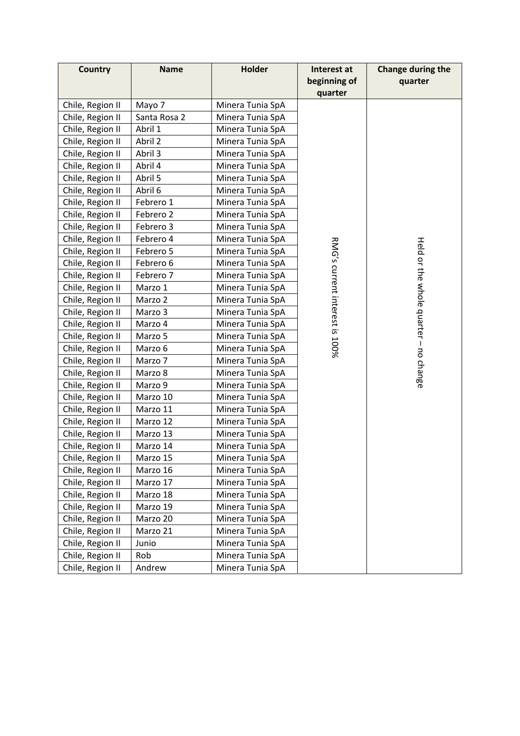| <b>Country</b>   | <b>Name</b>  | Holder           | Interest at                    | Change during the                     |
|------------------|--------------|------------------|--------------------------------|---------------------------------------|
|                  |              |                  | beginning of                   | quarter                               |
|                  |              |                  | quarter                        |                                       |
| Chile, Region II | Mayo 7       | Minera Tunia SpA |                                |                                       |
| Chile, Region II | Santa Rosa 2 | Minera Tunia SpA |                                |                                       |
| Chile, Region II | Abril 1      | Minera Tunia SpA |                                |                                       |
| Chile, Region II | Abril 2      | Minera Tunia SpA |                                |                                       |
| Chile, Region II | Abril 3      | Minera Tunia SpA |                                |                                       |
| Chile, Region II | Abril 4      | Minera Tunia SpA |                                |                                       |
| Chile, Region II | Abril 5      | Minera Tunia SpA |                                |                                       |
| Chile, Region II | Abril 6      | Minera Tunia SpA |                                |                                       |
| Chile, Region II | Febrero 1    | Minera Tunia SpA |                                |                                       |
| Chile, Region II | Febrero 2    | Minera Tunia SpA |                                |                                       |
| Chile, Region II | Febrero 3    | Minera Tunia SpA |                                |                                       |
| Chile, Region II | Febrero 4    | Minera Tunia SpA |                                |                                       |
| Chile, Region II | Febrero 5    | Minera Tunia SpA |                                |                                       |
| Chile, Region II | Febrero 6    | Minera Tunia SpA |                                |                                       |
| Chile, Region II | Febrero 7    | Minera Tunia SpA |                                |                                       |
| Chile, Region II | Marzo 1      | Minera Tunia SpA |                                |                                       |
| Chile, Region II | Marzo 2      | Minera Tunia SpA |                                |                                       |
| Chile, Region II | Marzo 3      | Minera Tunia SpA |                                |                                       |
| Chile, Region II | Marzo 4      | Minera Tunia SpA |                                |                                       |
| Chile, Region II | Marzo 5      | Minera Tunia SpA | RMG's current interest is 100% | Held or the whole quarter - no change |
| Chile, Region II | Marzo 6      | Minera Tunia SpA |                                |                                       |
| Chile, Region II | Marzo 7      | Minera Tunia SpA |                                |                                       |
| Chile, Region II | Marzo 8      | Minera Tunia SpA |                                |                                       |
| Chile, Region II | Marzo 9      | Minera Tunia SpA |                                |                                       |
| Chile, Region II | Marzo 10     | Minera Tunia SpA |                                |                                       |
| Chile, Region II | Marzo 11     | Minera Tunia SpA |                                |                                       |
| Chile, Region II | Marzo 12     | Minera Tunia SpA |                                |                                       |
| Chile, Region II | Marzo 13     | Minera Tunia SpA |                                |                                       |
| Chile, Region II | Marzo 14     | Minera Tunia SpA |                                |                                       |
| Chile, Region II | Marzo 15     | Minera Tunia SpA |                                |                                       |
| Chile, Region II | Marzo 16     | Minera Tunia SpA |                                |                                       |
| Chile, Region II | Marzo 17     | Minera Tunia SpA |                                |                                       |
| Chile, Region II | Marzo 18     | Minera Tunia SpA |                                |                                       |
| Chile, Region II | Marzo 19     | Minera Tunia SpA |                                |                                       |
| Chile, Region II | Marzo 20     | Minera Tunia SpA |                                |                                       |
| Chile, Region II | Marzo 21     | Minera Tunia SpA |                                |                                       |
| Chile, Region II | Junio        | Minera Tunia SpA |                                |                                       |
| Chile, Region II | Rob          | Minera Tunia SpA |                                |                                       |
| Chile, Region II | Andrew       | Minera Tunia SpA |                                |                                       |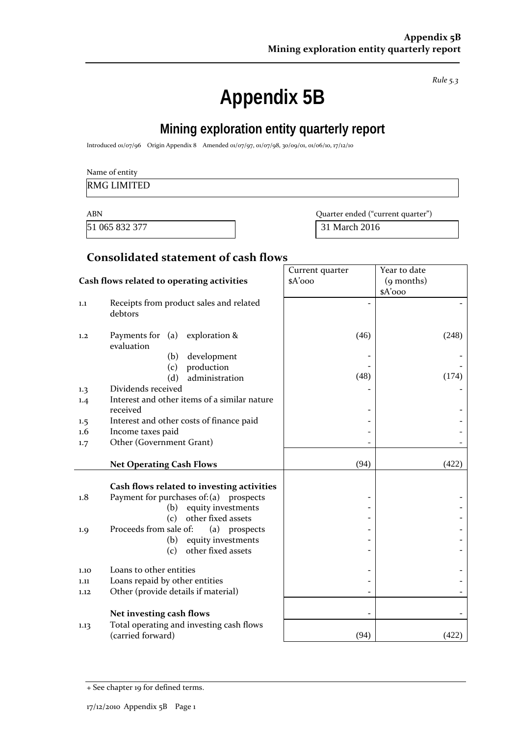*Rule 5.3*

# **Appendix 5B**

## **Mining exploration entity quarterly report**

Introduced 01/07/96 Origin Appendix 8 Amended 01/07/97, 01/07/98, 30/09/01, 01/06/10, 17/12/10

|  | Name of entity |
|--|----------------|
|  |                |

## RMG LIMITED

51 065 832 377 31 March 2016

ABN Quarter ended ("current quarter")

## **Consolidated statement of cash flows**

|            |                                                    | Current quarter | Year to date |
|------------|----------------------------------------------------|-----------------|--------------|
|            | Cash flows related to operating activities         | $A'$ ooo        | (9 months)   |
|            |                                                    |                 | $A'$ 000     |
| 1.1        | Receipts from product sales and related<br>debtors |                 |              |
| 1,2        | Payments for $(a)$ exploration &<br>evaluation     | (46)            | (248)        |
|            | development<br>(b)                                 |                 |              |
|            | production<br>(c)                                  |                 |              |
|            | administration<br>(d)                              | (48)            | (174)        |
| 1.3        | Dividends received                                 |                 |              |
| 1.4        | Interest and other items of a similar nature       |                 |              |
|            | received                                           |                 |              |
| 1.5<br>1.6 | Interest and other costs of finance paid           |                 |              |
|            | Income taxes paid<br>Other (Government Grant)      |                 |              |
| 1.7        |                                                    |                 |              |
|            | <b>Net Operating Cash Flows</b>                    | (94)            | (422)        |
|            |                                                    |                 |              |
|            | Cash flows related to investing activities         |                 |              |
| 1.8        | Payment for purchases of: $(a)$<br>prospects       |                 |              |
|            | equity investments<br>(b)                          |                 |              |
|            | (c)<br>other fixed assets                          |                 |              |
| 1.9        | Proceeds from sale of:<br>(a) prospects            |                 |              |
|            | equity investments<br>(b)                          |                 |              |
|            | other fixed assets<br>(c)                          |                 |              |
| 1.10       | Loans to other entities                            |                 |              |
| 1.11       | Loans repaid by other entities                     |                 |              |
| 1.12       | Other (provide details if material)                |                 |              |
|            |                                                    |                 |              |
|            | Net investing cash flows                           |                 |              |
| 1.13       | Total operating and investing cash flows           |                 |              |
|            | (carried forward)                                  | (94)            | (422)        |

<sup>+</sup> See chapter 19 for defined terms.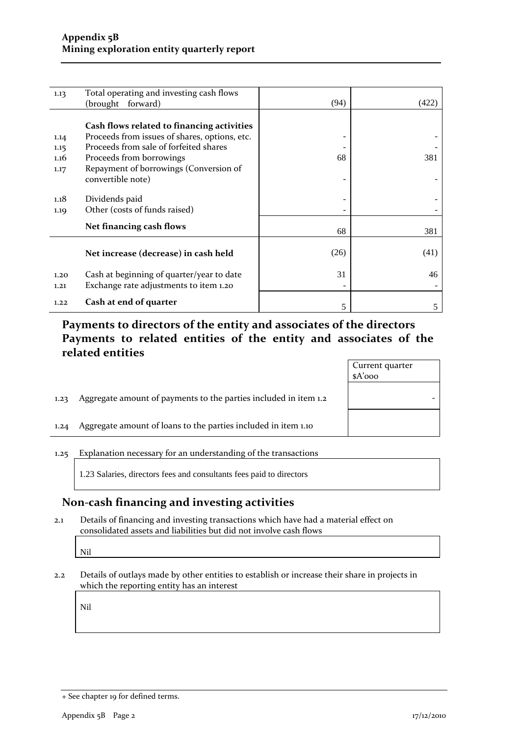| 1.13 | Total operating and investing cash flows      |      |       |
|------|-----------------------------------------------|------|-------|
|      | (brought forward)                             | (94) | (422) |
|      |                                               |      |       |
|      |                                               |      |       |
|      | Cash flows related to financing activities    |      |       |
| 1.14 | Proceeds from issues of shares, options, etc. | -    |       |
| 1.15 | Proceeds from sale of forfeited shares        |      |       |
| 1.16 | Proceeds from borrowings                      | 68   | 381   |
| 1.17 | Repayment of borrowings (Conversion of        |      |       |
|      |                                               |      |       |
|      | convertible note)                             |      |       |
|      |                                               |      |       |
| 1.18 | Dividends paid                                |      |       |
| 1.19 | Other (costs of funds raised)                 |      |       |
|      |                                               |      |       |
|      | Net financing cash flows                      | 68   | 381   |
|      |                                               |      |       |
|      |                                               | (26) | (41)  |
|      | Net increase (decrease) in cash held          |      |       |
|      |                                               |      |       |
| 1.20 | Cash at beginning of quarter/year to date     | 31   | 46    |
| 1.21 | Exchange rate adjustments to item 1.20        |      |       |
|      |                                               |      |       |
| 1.22 | Cash at end of quarter                        | 5    | 5     |
|      |                                               |      |       |

## **Payments to directors of the entity and associates of the directors Payments to related entities of the entity and associates of the related entities**

|      |                                                                  | Current quarter<br>$A'$ 000 |
|------|------------------------------------------------------------------|-----------------------------|
| 1.23 | Aggregate amount of payments to the parties included in item 1.2 |                             |
| 1.24 | Aggregate amount of loans to the parties included in item 1.10   |                             |

#### 1.25 Explanation necessary for an understanding of the transactions

1.23 Salaries, directors fees and consultants fees paid to directors

## **Non‐cash financing and investing activities**

2.1 Details of financing and investing transactions which have had a material effect on consolidated assets and liabilities but did not involve cash flows

Nil

2.2 Details of outlays made by other entities to establish or increase their share in projects in which the reporting entity has an interest

Nil

<sup>+</sup> See chapter 19 for defined terms.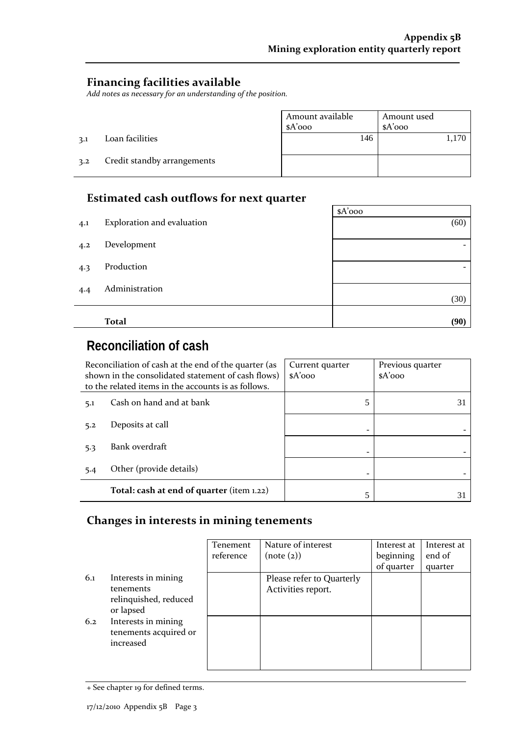$\overline{\phantom{a}}$ 

## **Financing facilities available**

*Add notes as necessary for an understanding of the position.*

|     |                             | Amount available<br>$A'$ 000 | Amount used<br>$A'$ 000 |  |
|-----|-----------------------------|------------------------------|-------------------------|--|
| 3.1 | Loan facilities             | 146                          |                         |  |
| 3.2 | Credit standby arrangements |                              |                         |  |

## **Estimated cash outflows for next quarter**

|     |                            | $A'$ 000 |
|-----|----------------------------|----------|
| 4.1 | Exploration and evaluation | (60)     |
| 4.2 | Development                | -        |
| 4.3 | Production                 |          |
| 4.4 | Administration             | (30)     |
|     |                            |          |
|     | <b>Total</b>               | (90)     |

## **Reconciliation of cash**

| Reconciliation of cash at the end of the quarter (as<br>shown in the consolidated statement of cash flows)<br>to the related items in the accounts is as follows. |                                           | Current quarter<br>$A'$ ooo | Previous quarter<br>$A'$ 000 |
|-------------------------------------------------------------------------------------------------------------------------------------------------------------------|-------------------------------------------|-----------------------------|------------------------------|
| 5.1                                                                                                                                                               | Cash on hand and at bank                  | 5                           | 31                           |
| 5.2                                                                                                                                                               | Deposits at call                          |                             |                              |
| 5.3                                                                                                                                                               | Bank overdraft                            |                             |                              |
| 5.4                                                                                                                                                               | Other (provide details)                   |                             |                              |
|                                                                                                                                                                   | Total: cash at end of quarter (item 1.22) | 5                           |                              |

## **Changes in interests in mining tenements**

|     |                                                                        | Tenement<br>reference | Nature of interest<br>(note (2))                | Interest at<br>beginning<br>of quarter | Interest at<br>end of<br>quarter |
|-----|------------------------------------------------------------------------|-----------------------|-------------------------------------------------|----------------------------------------|----------------------------------|
| 6.1 | Interests in mining<br>tenements<br>relinquished, reduced<br>or lapsed |                       | Please refer to Quarterly<br>Activities report. |                                        |                                  |
| 6.2 | Interests in mining<br>tenements acquired or<br>increased              |                       |                                                 |                                        |                                  |

<sup>+</sup> See chapter 19 for defined terms.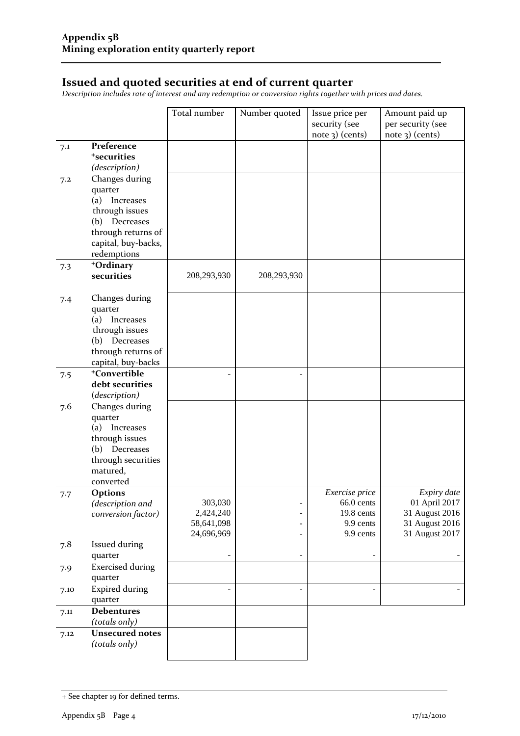## **Issued and quoted securities at end of current quarter**

*Description includes rate of interest and any redemption or conversion rights together with prices and dates.*

|      |                          | Total number         | Number quoted | Issue price per<br>security (see<br>$note$ 3) (cents) | Amount paid up<br>per security (see<br>$note$ 3) (cents) |
|------|--------------------------|----------------------|---------------|-------------------------------------------------------|----------------------------------------------------------|
| 7.1  | Preference               |                      |               |                                                       |                                                          |
|      | <sup>+</sup> securities  |                      |               |                                                       |                                                          |
|      | (description)            |                      |               |                                                       |                                                          |
|      | Changes during           |                      |               |                                                       |                                                          |
| 7.2  | quarter                  |                      |               |                                                       |                                                          |
|      | Increases<br>(a)         |                      |               |                                                       |                                                          |
|      | through issues           |                      |               |                                                       |                                                          |
|      | (b)<br>Decreases         |                      |               |                                                       |                                                          |
|      | through returns of       |                      |               |                                                       |                                                          |
|      | capital, buy-backs,      |                      |               |                                                       |                                                          |
|      | redemptions              |                      |               |                                                       |                                                          |
| 7.3  | +Ordinary                |                      |               |                                                       |                                                          |
|      | securities               | 208,293,930          | 208,293,930   |                                                       |                                                          |
|      |                          |                      |               |                                                       |                                                          |
| 7.4  | Changes during           |                      |               |                                                       |                                                          |
|      | quarter                  |                      |               |                                                       |                                                          |
|      | (a) Increases            |                      |               |                                                       |                                                          |
|      | through issues           |                      |               |                                                       |                                                          |
|      | (b) Decreases            |                      |               |                                                       |                                                          |
|      | through returns of       |                      |               |                                                       |                                                          |
|      | capital, buy-backs       |                      |               |                                                       |                                                          |
| 7.5  | <sup>+</sup> Convertible |                      |               |                                                       |                                                          |
|      | debt securities          |                      |               |                                                       |                                                          |
|      | (description)            |                      |               |                                                       |                                                          |
| 7.6  | Changes during           |                      |               |                                                       |                                                          |
|      | quarter                  |                      |               |                                                       |                                                          |
|      | (a) Increases            |                      |               |                                                       |                                                          |
|      | through issues           |                      |               |                                                       |                                                          |
|      | (b) Decreases            |                      |               |                                                       |                                                          |
|      | through securities       |                      |               |                                                       |                                                          |
|      | matured,                 |                      |               |                                                       |                                                          |
|      | converted                |                      |               |                                                       |                                                          |
| 7.7  | Options                  |                      |               | Exercise price                                        | Expiry date                                              |
|      | (description and         | 303,030<br>2,424,240 |               | 66.0 cents<br>19.8 cents                              | 01 April 2017<br>31 August 2016                          |
|      | conversion factor)       | 58,641,098           |               | 9.9 cents                                             | 31 August 2016                                           |
|      |                          | 24,696,969           |               | 9.9 cents                                             | 31 August 2017                                           |
| 7.8  | <b>Issued during</b>     |                      |               |                                                       |                                                          |
|      | quarter                  |                      |               |                                                       |                                                          |
| 7.9  | <b>Exercised during</b>  |                      |               |                                                       |                                                          |
|      | quarter                  |                      |               |                                                       |                                                          |
| 7.10 | <b>Expired during</b>    |                      |               | $\overline{\phantom{a}}$                              |                                                          |
|      | quarter                  |                      |               |                                                       |                                                          |
| 7.11 | <b>Debentures</b>        |                      |               |                                                       |                                                          |
|      | (totals only)            |                      |               |                                                       |                                                          |
| 7.12 | <b>Unsecured notes</b>   |                      |               |                                                       |                                                          |
|      | (totals only)            |                      |               |                                                       |                                                          |
|      |                          |                      |               |                                                       |                                                          |

<sup>+</sup> See chapter 19 for defined terms.